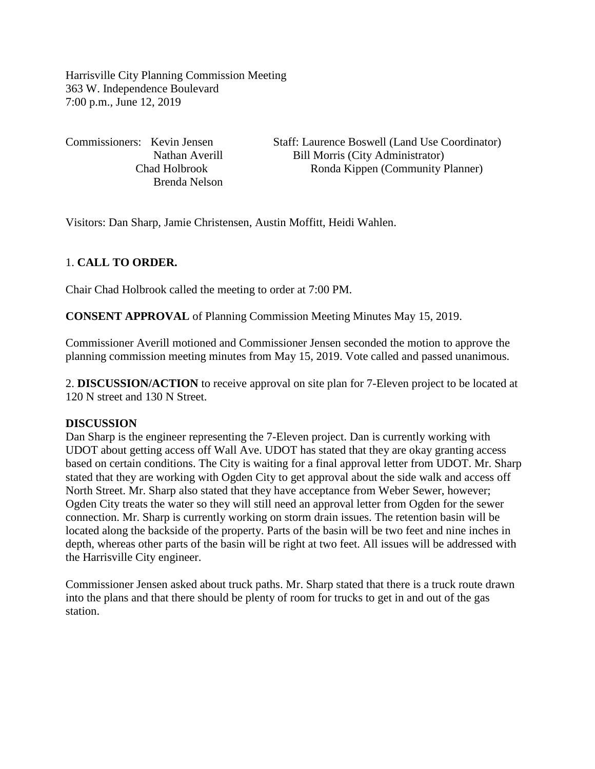Harrisville City Planning Commission Meeting 363 W. Independence Boulevard 7:00 p.m., June 12, 2019

Brenda Nelson

Commissioners: Kevin Jensen Staff: Laurence Boswell (Land Use Coordinator) Nathan Averill Bill Morris (City Administrator) Chad Holbrook Ronda Kippen (Community Planner)

Visitors: Dan Sharp, Jamie Christensen, Austin Moffitt, Heidi Wahlen.

### 1. **CALL TO ORDER.**

Chair Chad Holbrook called the meeting to order at 7:00 PM.

**CONSENT APPROVAL** of Planning Commission Meeting Minutes May 15, 2019.

Commissioner Averill motioned and Commissioner Jensen seconded the motion to approve the planning commission meeting minutes from May 15, 2019. Vote called and passed unanimous.

2. **DISCUSSION/ACTION** to receive approval on site plan for 7-Eleven project to be located at 120 N street and 130 N Street.

#### **DISCUSSION**

Dan Sharp is the engineer representing the 7-Eleven project. Dan is currently working with UDOT about getting access off Wall Ave. UDOT has stated that they are okay granting access based on certain conditions. The City is waiting for a final approval letter from UDOT. Mr. Sharp stated that they are working with Ogden City to get approval about the side walk and access off North Street. Mr. Sharp also stated that they have acceptance from Weber Sewer, however; Ogden City treats the water so they will still need an approval letter from Ogden for the sewer connection. Mr. Sharp is currently working on storm drain issues. The retention basin will be located along the backside of the property. Parts of the basin will be two feet and nine inches in depth, whereas other parts of the basin will be right at two feet. All issues will be addressed with the Harrisville City engineer.

Commissioner Jensen asked about truck paths. Mr. Sharp stated that there is a truck route drawn into the plans and that there should be plenty of room for trucks to get in and out of the gas station.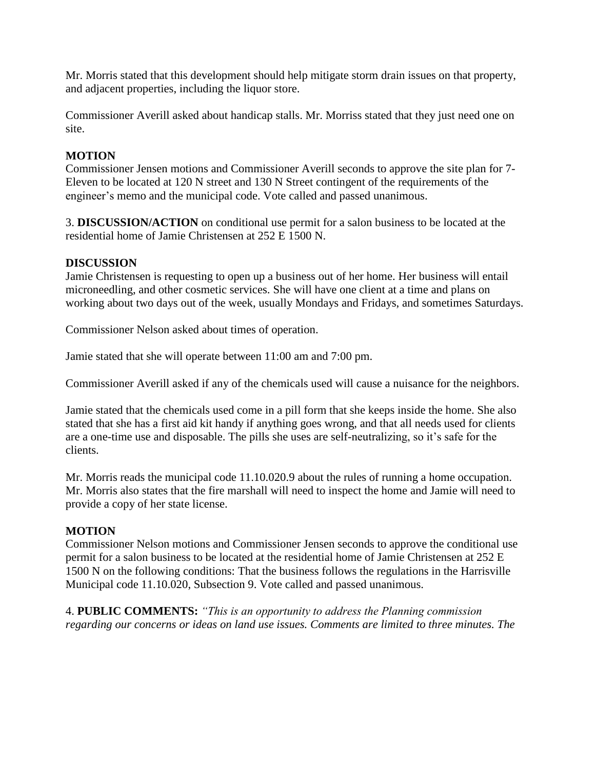Mr. Morris stated that this development should help mitigate storm drain issues on that property, and adjacent properties, including the liquor store.

Commissioner Averill asked about handicap stalls. Mr. Morriss stated that they just need one on site.

# **MOTION**

Commissioner Jensen motions and Commissioner Averill seconds to approve the site plan for 7- Eleven to be located at 120 N street and 130 N Street contingent of the requirements of the engineer's memo and the municipal code. Vote called and passed unanimous.

3. **DISCUSSION/ACTION** on conditional use permit for a salon business to be located at the residential home of Jamie Christensen at 252 E 1500 N.

### **DISCUSSION**

Jamie Christensen is requesting to open up a business out of her home. Her business will entail microneedling, and other cosmetic services. She will have one client at a time and plans on working about two days out of the week, usually Mondays and Fridays, and sometimes Saturdays.

Commissioner Nelson asked about times of operation.

Jamie stated that she will operate between 11:00 am and 7:00 pm.

Commissioner Averill asked if any of the chemicals used will cause a nuisance for the neighbors.

Jamie stated that the chemicals used come in a pill form that she keeps inside the home. She also stated that she has a first aid kit handy if anything goes wrong, and that all needs used for clients are a one-time use and disposable. The pills she uses are self-neutralizing, so it's safe for the clients.

Mr. Morris reads the municipal code 11.10.020.9 about the rules of running a home occupation. Mr. Morris also states that the fire marshall will need to inspect the home and Jamie will need to provide a copy of her state license.

### **MOTION**

Commissioner Nelson motions and Commissioner Jensen seconds to approve the conditional use permit for a salon business to be located at the residential home of Jamie Christensen at 252 E 1500 N on the following conditions: That the business follows the regulations in the Harrisville Municipal code 11.10.020, Subsection 9. Vote called and passed unanimous.

4. **PUBLIC COMMENTS:** *"This is an opportunity to address the Planning commission regarding our concerns or ideas on land use issues. Comments are limited to three minutes. The*